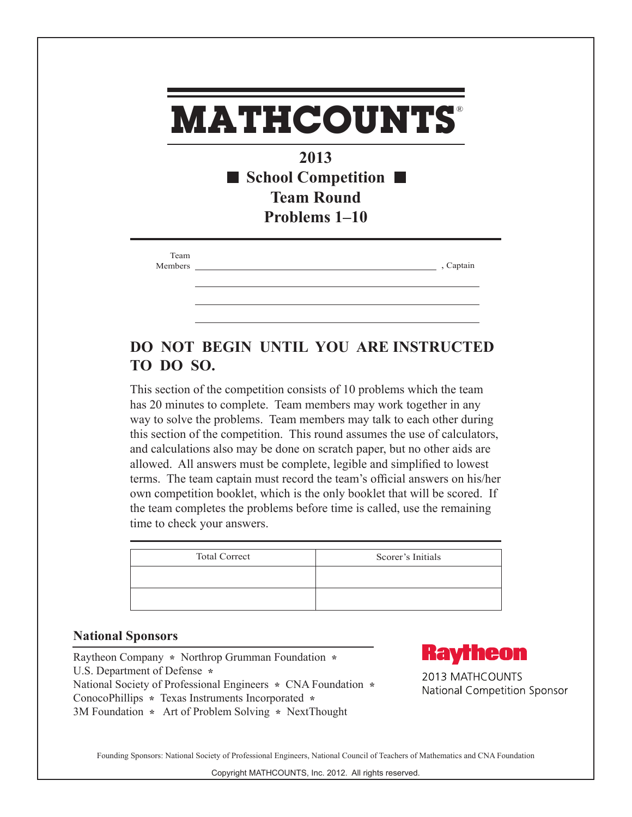## **2013 School Competition Team Round Problems 1–10 MATHCOUNTS** ® Team Members , Captain

## **DO NOT BEGIN UNTIL YOU ARE INSTRUCTED TO DO SO.**

This section of the competition consists of 10 problems which the team has 20 minutes to complete. Team members may work together in any way to solve the problems. Team members may talk to each other during this section of the competition. This round assumes the use of calculators, and calculations also may be done on scratch paper, but no other aids are allowed. All answers must be complete, legible and simplified to lowest terms. The team captain must record the team's official answers on his/her own competition booklet, which is the only booklet that will be scored. If the team completes the problems before time is called, use the remaining time to check your answers.

| <b>Total Correct</b> | Scorer's Initials |
|----------------------|-------------------|
|                      |                   |
|                      |                   |

## **National Sponsors**

Raytheon Company **\*** Northrop Grumman Foundation **\***  U.S. Department of Defense **\***  National Society of Professional Engineers **\*** CNA Foundation **\***  ConocoPhillips **\*** Texas Instruments Incorporated **\*** 3M Foundation **\*** Art of Problem Solving **\*** NextThought



2013 MATHCOUNTS National Competition Sponsor

Founding Sponsors: National Society of Professional Engineers, National Council of Teachers of Mathematics and CNA Foundation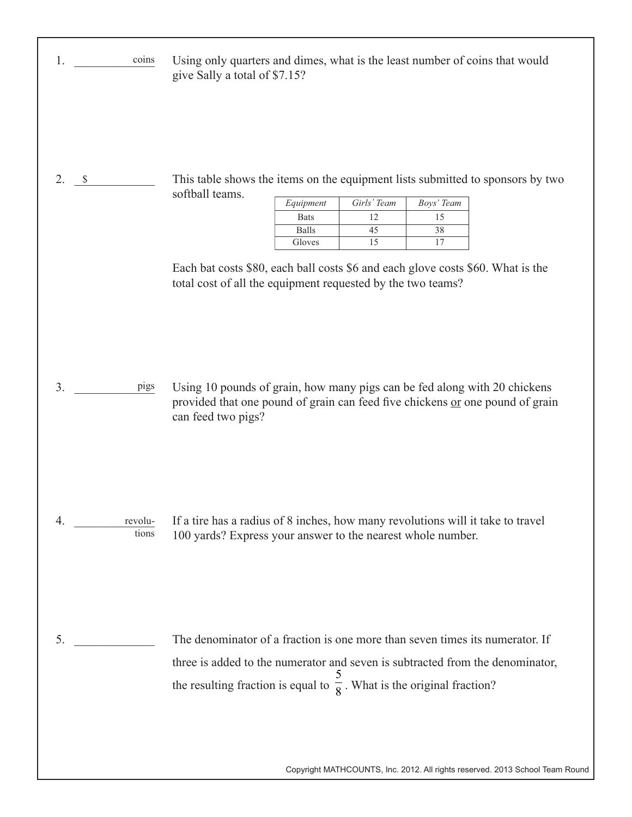| coins<br>1.            | Using only quarters and dimes, what is the least number of coins that would<br>give Sally a total of \$7.15?                                                                                                                                                                                                                                                               |
|------------------------|----------------------------------------------------------------------------------------------------------------------------------------------------------------------------------------------------------------------------------------------------------------------------------------------------------------------------------------------------------------------------|
| 2.<br>$\mathbb S$      | This table shows the items on the equipment lists submitted to sponsors by two<br>softball teams.<br>Girls' Team<br>Equipment<br>Boys' Team<br>12<br>15<br><b>Bats</b><br><b>Balls</b><br>45<br>38<br>15<br>17<br>Gloves<br>Each bat costs \$80, each ball costs \$6 and each glove costs \$60. What is the<br>total cost of all the equipment requested by the two teams? |
| 3.<br>pigs             | Using 10 pounds of grain, how many pigs can be fed along with 20 chickens<br>provided that one pound of grain can feed five chickens or one pound of grain<br>can feed two pigs?                                                                                                                                                                                           |
| 4.<br>revolu-<br>tions | If a tire has a radius of 8 inches, how many revolutions will it take to travel<br>100 yards? Express your answer to the nearest whole number.                                                                                                                                                                                                                             |
| 5.                     | The denominator of a fraction is one more than seven times its numerator. If<br>three is added to the numerator and seven is subtracted from the denominator,<br>the resulting fraction is equal to $\frac{3}{8}$ . What is the original fraction?                                                                                                                         |

Copyright MATHCOUNTS, Inc. 2012. All rights reserved. 2013 School Team Round